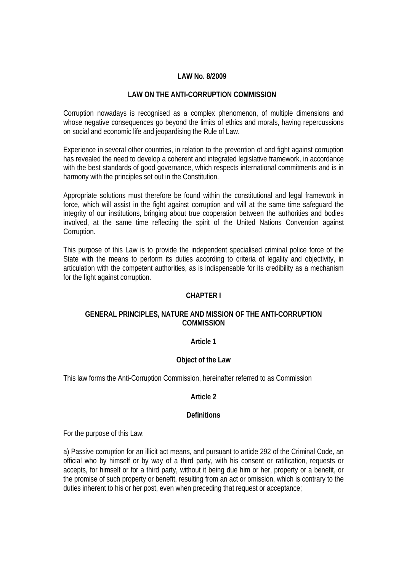## **LAW No. 8/2009**

# **LAW ON THE ANTI-CORRUPTION COMMISSION**

Corruption nowadays is recognised as a complex phenomenon, of multiple dimensions and whose negative consequences go beyond the limits of ethics and morals, having repercussions on social and economic life and jeopardising the Rule of Law.

Experience in several other countries, in relation to the prevention of and fight against corruption has revealed the need to develop a coherent and integrated legislative framework, in accordance with the best standards of good governance, which respects international commitments and is in harmony with the principles set out in the Constitution.

Appropriate solutions must therefore be found within the constitutional and legal framework in force, which will assist in the fight against corruption and will at the same time safeguard the integrity of our institutions, bringing about true cooperation between the authorities and bodies involved, at the same time reflecting the spirit of the United Nations Convention against Corruption.

This purpose of this Law is to provide the independent specialised criminal police force of the State with the means to perform its duties according to criteria of legality and objectivity, in articulation with the competent authorities, as is indispensable for its credibility as a mechanism for the fight against corruption.

## **CHAPTER I**

# **GENERAL PRINCIPLES, NATURE AND MISSION OF THE ANTI-CORRUPTION COMMISSION**

## **Article 1**

## **Object of the Law**

This law forms the Anti-Corruption Commission, hereinafter referred to as Commission

# **Article 2**

## **Definitions**

For the purpose of this Law:

a) Passive corruption for an illicit act means, and pursuant to article 292 of the Criminal Code, an official who by himself or by way of a third party, with his consent or ratification, requests or accepts, for himself or for a third party, without it being due him or her, property or a benefit, or the promise of such property or benefit, resulting from an act or omission, which is contrary to the duties inherent to his or her post, even when preceding that request or acceptance;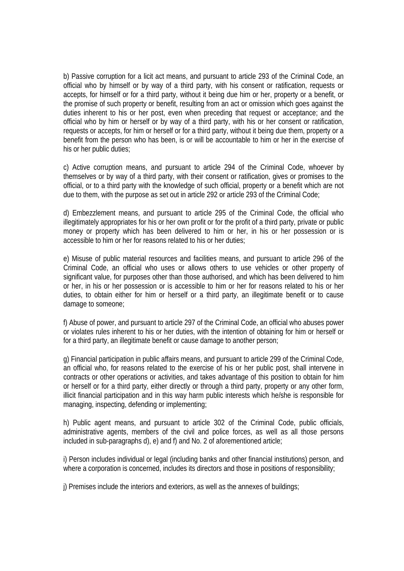b) Passive corruption for a licit act means, and pursuant to article 293 of the Criminal Code, an official who by himself or by way of a third party, with his consent or ratification, requests or accepts, for himself or for a third party, without it being due him or her, property or a benefit, or the promise of such property or benefit, resulting from an act or omission which goes against the duties inherent to his or her post, even when preceding that request or acceptance; and the official who by him or herself or by way of a third party, with his or her consent or ratification, requests or accepts, for him or herself or for a third party, without it being due them, property or a benefit from the person who has been, is or will be accountable to him or her in the exercise of his or her public duties;

c) Active corruption means, and pursuant to article 294 of the Criminal Code, whoever by themselves or by way of a third party, with their consent or ratification, gives or promises to the official, or to a third party with the knowledge of such official, property or a benefit which are not due to them, with the purpose as set out in article 292 or article 293 of the Criminal Code;

d) Embezzlement means, and pursuant to article 295 of the Criminal Code, the official who illegitimately appropriates for his or her own profit or for the profit of a third party, private or public money or property which has been delivered to him or her, in his or her possession or is accessible to him or her for reasons related to his or her duties;

e) Misuse of public material resources and facilities means, and pursuant to article 296 of the Criminal Code, an official who uses or allows others to use vehicles or other property of significant value, for purposes other than those authorised, and which has been delivered to him or her, in his or her possession or is accessible to him or her for reasons related to his or her duties, to obtain either for him or herself or a third party, an illegitimate benefit or to cause damage to someone;

f) Abuse of power, and pursuant to article 297 of the Criminal Code, an official who abuses power or violates rules inherent to his or her duties, with the intention of obtaining for him or herself or for a third party, an illegitimate benefit or cause damage to another person;

g) Financial participation in public affairs means, and pursuant to article 299 of the Criminal Code, an official who, for reasons related to the exercise of his or her public post, shall intervene in contracts or other operations or activities, and takes advantage of this position to obtain for him or herself or for a third party, either directly or through a third party, property or any other form, illicit financial participation and in this way harm public interests which he/she is responsible for managing, inspecting, defending or implementing;

h) Public agent means, and pursuant to article 302 of the Criminal Code, public officials, administrative agents, members of the civil and police forces, as well as all those persons included in sub-paragraphs d), e) and f) and No. 2 of aforementioned article;

i) Person includes individual or legal (including banks and other financial institutions) person, and where a corporation is concerned, includes its directors and those in positions of responsibility;

j) Premises include the interiors and exteriors, as well as the annexes of buildings;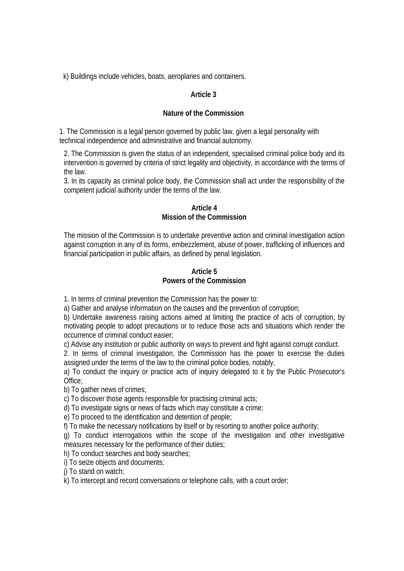k) Buildings include vehicles, boats, aeroplanes and containers.

# **Article 3**

# **Nature of the Commission**

1. The Commission is a legal person governed by public law, given a legal personality with technical independence and administrative and financial autonomy.

2. The Commission is given the status of an independent, specialised criminal police body and its intervention is governed by criteria of strict legality and objectivity, in accordance with the terms of the law.

3. In its capacity as criminal police body, the Commission shall act under the responsibility of the competent judicial authority under the terms of the law.

# **Article 4 Mission of the Commission**

The mission of the Commission is to undertake preventive action and criminal investigation action against corruption in any of its forms, embezzlement, abuse of power, trafficking of influences and financial participation in public affairs, as defined by penal legislation.

# **Article 5 Powers of the Commission**

1. In terms of criminal prevention the Commission has the power to:

a) Gather and analyse information on the causes and the prevention of corruption;

b) Undertake awareness raising actions aimed at limiting the practice of acts of corruption, by motivating people to adopt precautions or to reduce those acts and situations which render the occurrence of criminal conduct easier;

c) Advise any institution or public authority on ways to prevent and fight against corrupt conduct.

2. In terms of criminal investigation, the Commission has the power to exercise the duties assigned under the terms of the law to the criminal police bodies, notably,

a) To conduct the inquiry or practice acts of inquiry delegated to it by the Public Prosecutor's Office;

b) To gather news of crimes;

c) To discover those agents responsible for practising criminal acts;

d) To investigate signs or news of facts which may constitute a crime;

e) To proceed to the identification and detention of people;

f) To make the necessary notifications by itself or by resorting to another police authority;

g) To conduct interrogations within the scope of the investigation and other investigative measures necessary for the performance of their duties;

h) To conduct searches and body searches;

i) To seize objects and documents;

i) To stand on watch:

k) To intercept and record conversations or telephone calls, with a court order;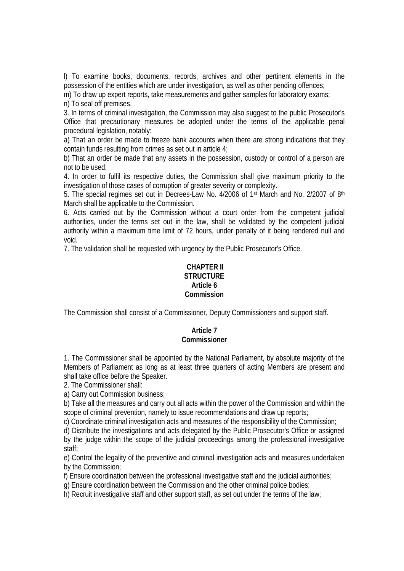l) To examine books, documents, records, archives and other pertinent elements in the possession of the entities which are under investigation, as well as other pending offences;

m) To draw up expert reports, take measurements and gather samples for laboratory exams;

n) To seal off premises.

3. In terms of criminal investigation, the Commission may also suggest to the public Prosecutor's Office that precautionary measures be adopted under the terms of the applicable penal procedural legislation, notably:

a) That an order be made to freeze bank accounts when there are strong indications that they contain funds resulting from crimes as set out in article 4;

b) That an order be made that any assets in the possession, custody or control of a person are not to be used;

4. In order to fulfil its respective duties, the Commission shall give maximum priority to the investigation of those cases of corruption of greater severity or complexity.

5. The special regimes set out in Decrees-Law No. 4/2006 of 1st March and No. 2/2007 of 8th March shall be applicable to the Commission.

6. Acts carried out by the Commission without a court order from the competent judicial authorities, under the terms set out in the law, shall be validated by the competent judicial authority within a maximum time limit of 72 hours, under penalty of it being rendered null and void.

7. The validation shall be requested with urgency by the Public Prosecutor's Office.

# **CHAPTER II STRUCTURE Article 6 Commission**

The Commission shall consist of a Commissioner, Deputy Commissioners and support staff.

# **Article 7 Commissioner**

1. The Commissioner shall be appointed by the National Parliament, by absolute majority of the Members of Parliament as long as at least three quarters of acting Members are present and shall take office before the Speaker.

2. The Commissioner shall:

a) Carry out Commission business;

b) Take all the measures and carry out all acts within the power of the Commission and within the scope of criminal prevention, namely to issue recommendations and draw up reports;

c) Coordinate criminal investigation acts and measures of the responsibility of the Commission;

d) Distribute the investigations and acts delegated by the Public Prosecutor's Office or assigned by the judge within the scope of the judicial proceedings among the professional investigative staff;

e) Control the legality of the preventive and criminal investigation acts and measures undertaken by the Commission;

f) Ensure coordination between the professional investigative staff and the judicial authorities;

g) Ensure coordination between the Commission and the other criminal police bodies;

h) Recruit investigative staff and other support staff, as set out under the terms of the law;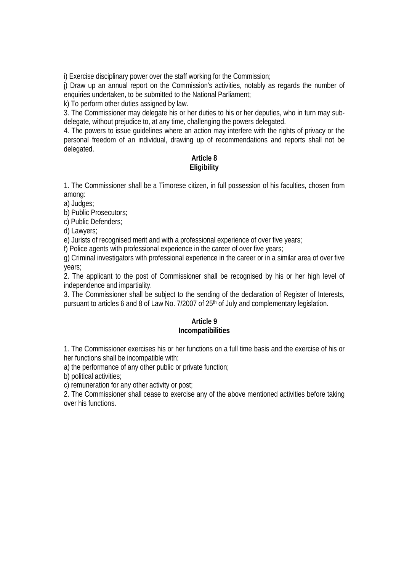i) Exercise disciplinary power over the staff working for the Commission;

j) Draw up an annual report on the Commission's activities, notably as regards the number of enquiries undertaken, to be submitted to the National Parliament;

k) To perform other duties assigned by law.

3. The Commissioner may delegate his or her duties to his or her deputies, who in turn may subdelegate, without prejudice to, at any time, challenging the powers delegated.

4. The powers to issue guidelines where an action may interfere with the rights of privacy or the personal freedom of an individual, drawing up of recommendations and reports shall not be delegated.

# **Article 8 Eligibility**

1. The Commissioner shall be a Timorese citizen, in full possession of his faculties, chosen from among:

a) Judges;

b) Public Prosecutors;

c) Public Defenders;

d) Lawyers;

e) Jurists of recognised merit and with a professional experience of over five years;

f) Police agents with professional experience in the career of over five years;

g) Criminal investigators with professional experience in the career or in a similar area of over five years;

2. The applicant to the post of Commissioner shall be recognised by his or her high level of independence and impartiality.

3. The Commissioner shall be subject to the sending of the declaration of Register of Interests, pursuant to articles 6 and 8 of Law No. 7/2007 of 25<sup>th</sup> of July and complementary legislation.

# **Article 9 Incompatibilities**

1. The Commissioner exercises his or her functions on a full time basis and the exercise of his or her functions shall be incompatible with:

a) the performance of any other public or private function;

b) political activities;

c) remuneration for any other activity or post;

2. The Commissioner shall cease to exercise any of the above mentioned activities before taking over his functions.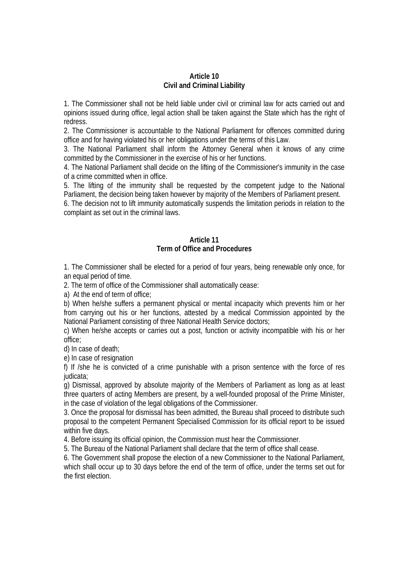#### **Article 10 Civil and Criminal Liability**

1. The Commissioner shall not be held liable under civil or criminal law for acts carried out and opinions issued during office, legal action shall be taken against the State which has the right of redress.

2. The Commissioner is accountable to the National Parliament for offences committed during office and for having violated his or her obligations under the terms of this Law.

3. The National Parliament shall inform the Attorney General when it knows of any crime committed by the Commissioner in the exercise of his or her functions.

4. The National Parliament shall decide on the lifting of the Commissioner's immunity in the case of a crime committed when in office.

5. The lifting of the immunity shall be requested by the competent judge to the National Parliament, the decision being taken however by majority of the Members of Parliament present.

6. The decision not to lift immunity automatically suspends the limitation periods in relation to the complaint as set out in the criminal laws.

# **Article 11 Term of Office and Procedures**

1. The Commissioner shall be elected for a period of four years, being renewable only once, for an equal period of time.

2. The term of office of the Commissioner shall automatically cease:

a) At the end of term of office;

b) When he/she suffers a permanent physical or mental incapacity which prevents him or her from carrying out his or her functions, attested by a medical Commission appointed by the National Parliament consisting of three National Health Service doctors;

c) When he/she accepts or carries out a post, function or activity incompatible with his or her office;

d) In case of death;

e) In case of resignation

f) If /she he is convicted of a crime punishable with a prison sentence with the force of res judicata;

g) Dismissal, approved by absolute majority of the Members of Parliament as long as at least three quarters of acting Members are present, by a well-founded proposal of the Prime Minister, in the case of violation of the legal obligations of the Commissioner.

3. Once the proposal for dismissal has been admitted, the Bureau shall proceed to distribute such proposal to the competent Permanent Specialised Commission for its official report to be issued within five days.

4. Before issuing its official opinion, the Commission must hear the Commissioner.

5. The Bureau of the National Parliament shall declare that the term of office shall cease.

6. The Government shall propose the election of a new Commissioner to the National Parliament, which shall occur up to 30 days before the end of the term of office, under the terms set out for the first election.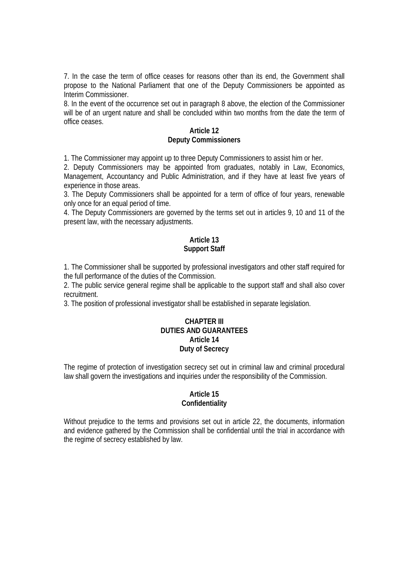7. In the case the term of office ceases for reasons other than its end, the Government shall propose to the National Parliament that one of the Deputy Commissioners be appointed as Interim Commissioner.

8. In the event of the occurrence set out in paragraph 8 above, the election of the Commissioner will be of an urgent nature and shall be concluded within two months from the date the term of office ceases.

#### **Article 12 Deputy Commissioners**

1. The Commissioner may appoint up to three Deputy Commissioners to assist him or her.

2. Deputy Commissioners may be appointed from graduates, notably in Law, Economics, Management, Accountancy and Public Administration, and if they have at least five years of experience in those areas.

3. The Deputy Commissioners shall be appointed for a term of office of four years, renewable only once for an equal period of time.

4. The Deputy Commissioners are governed by the terms set out in articles 9, 10 and 11 of the present law, with the necessary adjustments.

# **Article 13 Support Staff**

1. The Commissioner shall be supported by professional investigators and other staff required for the full performance of the duties of the Commission.

2. The public service general regime shall be applicable to the support staff and shall also cover recruitment.

3. The position of professional investigator shall be established in separate legislation.

## **CHAPTER III DUTIES AND GUARANTEES Article 14 Duty of Secrecy**

The regime of protection of investigation secrecy set out in criminal law and criminal procedural law shall govern the investigations and inquiries under the responsibility of the Commission.

# **Article 15 Confidentiality**

Without prejudice to the terms and provisions set out in article 22, the documents, information and evidence gathered by the Commission shall be confidential until the trial in accordance with the regime of secrecy established by law.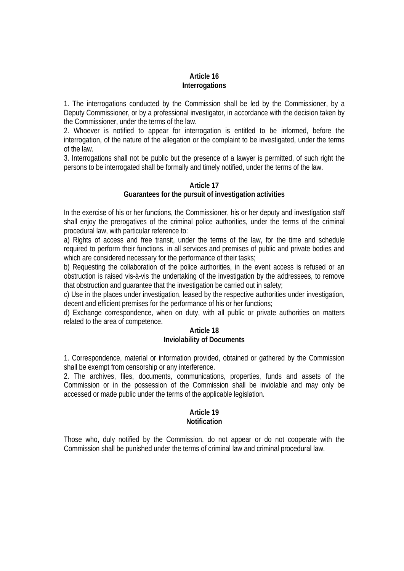# **Article 16 Interrogations**

1. The interrogations conducted by the Commission shall be led by the Commissioner, by a Deputy Commissioner, or by a professional investigator, in accordance with the decision taken by the Commissioner, under the terms of the law.

2. Whoever is notified to appear for interrogation is entitled to be informed, before the interrogation, of the nature of the allegation or the complaint to be investigated, under the terms of the law.

3. Interrogations shall not be public but the presence of a lawyer is permitted, of such right the persons to be interrogated shall be formally and timely notified, under the terms of the law.

#### **Article 17 Guarantees for the pursuit of investigation activities**

In the exercise of his or her functions, the Commissioner, his or her deputy and investigation staff shall enjoy the prerogatives of the criminal police authorities, under the terms of the criminal procedural law, with particular reference to:

a) Rights of access and free transit, under the terms of the law, for the time and schedule required to perform their functions, in all services and premises of public and private bodies and which are considered necessary for the performance of their tasks;

b) Requesting the collaboration of the police authorities, in the event access is refused or an obstruction is raised vis-à-vis the undertaking of the investigation by the addressees, to remove that obstruction and guarantee that the investigation be carried out in safety;

c) Use in the places under investigation, leased by the respective authorities under investigation, decent and efficient premises for the performance of his or her functions;

d) Exchange correspondence, when on duty, with all public or private authorities on matters related to the area of competence.

#### **Article 18 Inviolability of Documents**

1. Correspondence, material or information provided, obtained or gathered by the Commission shall be exempt from censorship or any interference.

2. The archives, files, documents, communications, properties, funds and assets of the Commission or in the possession of the Commission shall be inviolable and may only be accessed or made public under the terms of the applicable legislation.

## **Article 19 Notification**

Those who, duly notified by the Commission, do not appear or do not cooperate with the Commission shall be punished under the terms of criminal law and criminal procedural law.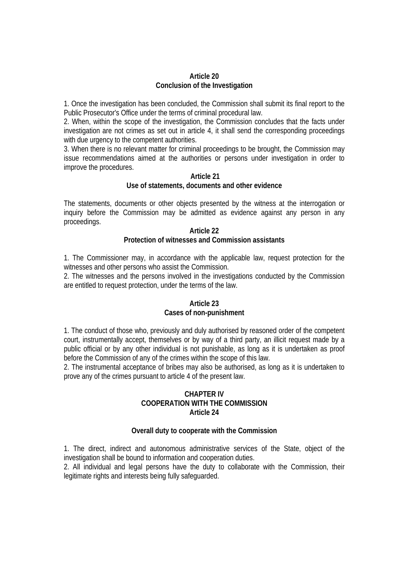#### **Article 20 Conclusion of the Investigation**

1. Once the investigation has been concluded, the Commission shall submit its final report to the Public Prosecutor's Office under the terms of criminal procedural law.

2. When, within the scope of the investigation, the Commission concludes that the facts under investigation are not crimes as set out in article 4, it shall send the corresponding proceedings with due urgency to the competent authorities.

3. When there is no relevant matter for criminal proceedings to be brought, the Commission may issue recommendations aimed at the authorities or persons under investigation in order to improve the procedures.

#### **Article 21 Use of statements, documents and other evidence**

The statements, documents or other objects presented by the witness at the interrogation or inquiry before the Commission may be admitted as evidence against any person in any proceedings.

#### **Article 22 Protection of witnesses and Commission assistants**

1. The Commissioner may, in accordance with the applicable law, request protection for the witnesses and other persons who assist the Commission.

2. The witnesses and the persons involved in the investigations conducted by the Commission are entitled to request protection, under the terms of the law.

# **Article 23 Cases of non-punishment**

1. The conduct of those who, previously and duly authorised by reasoned order of the competent court, instrumentally accept, themselves or by way of a third party, an illicit request made by a public official or by any other individual is not punishable, as long as it is undertaken as proof before the Commission of any of the crimes within the scope of this law.

2. The instrumental acceptance of bribes may also be authorised, as long as it is undertaken to prove any of the crimes pursuant to article 4 of the present law.

# **CHAPTER IV COOPERATION WITH THE COMMISSION Article 24**

# **Overall duty to cooperate with the Commission**

1. The direct, indirect and autonomous administrative services of the State, object of the investigation shall be bound to information and cooperation duties.

2. All individual and legal persons have the duty to collaborate with the Commission, their legitimate rights and interests being fully safeguarded.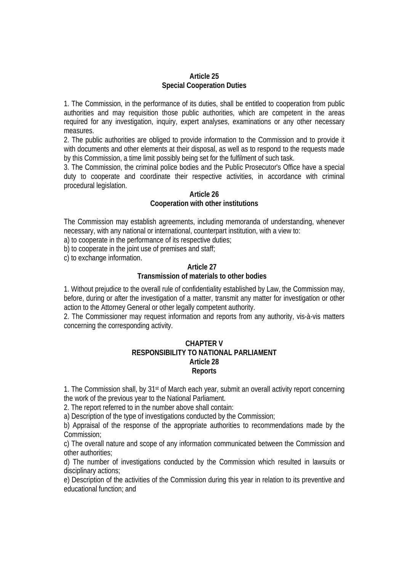#### **Article 25 Special Cooperation Duties**

1. The Commission, in the performance of its duties, shall be entitled to cooperation from public authorities and may requisition those public authorities, which are competent in the areas required for any investigation, inquiry, expert analyses, examinations or any other necessary measures.

2. The public authorities are obliged to provide information to the Commission and to provide it with documents and other elements at their disposal, as well as to respond to the requests made by this Commission, a time limit possibly being set for the fulfilment of such task.

3. The Commission, the criminal police bodies and the Public Prosecutor's Office have a special duty to cooperate and coordinate their respective activities, in accordance with criminal procedural legislation.

# **Article 26**

# **Cooperation with other institutions**

The Commission may establish agreements, including memoranda of understanding, whenever necessary, with any national or international, counterpart institution, with a view to:

a) to cooperate in the performance of its respective duties;

b) to cooperate in the joint use of premises and staff;

c) to exchange information.

# **Article 27**

# **Transmission of materials to other bodies**

1. Without prejudice to the overall rule of confidentiality established by Law, the Commission may, before, during or after the investigation of a matter, transmit any matter for investigation or other action to the Attorney General or other legally competent authority.

2. The Commissioner may request information and reports from any authority, vis-à-vis matters concerning the corresponding activity.

## **CHAPTER V RESPONSIBILITY TO NATIONAL PARLIAMENT Article 28 Reports**

1. The Commission shall, by 31<sup>st</sup> of March each year, submit an overall activity report concerning the work of the previous year to the National Parliament.

2. The report referred to in the number above shall contain:

a) Description of the type of investigations conducted by the Commission;

b) Appraisal of the response of the appropriate authorities to recommendations made by the Commission;

c) The overall nature and scope of any information communicated between the Commission and other authorities;

d) The number of investigations conducted by the Commission which resulted in lawsuits or disciplinary actions;

e) Description of the activities of the Commission during this year in relation to its preventive and educational function; and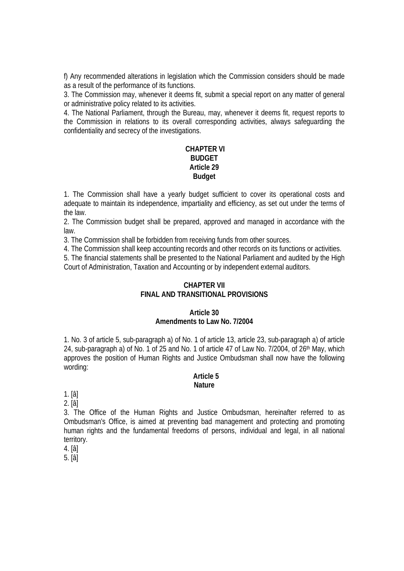f) Any recommended alterations in legislation which the Commission considers should be made as a result of the performance of its functions.

3. The Commission may, whenever it deems fit, submit a special report on any matter of general or administrative policy related to its activities.

4. The National Parliament, through the Bureau, may, whenever it deems fit, request reports to the Commission in relations to its overall corresponding activities, always safeguarding the confidentiality and secrecy of the investigations.

# **CHAPTER VI BUDGET Article 29 Budget**

1. The Commission shall have a yearly budget sufficient to cover its operational costs and adequate to maintain its independence, impartiality and efficiency, as set out under the terms of the law.

2. The Commission budget shall be prepared, approved and managed in accordance with the law.

3. The Commission shall be forbidden from receiving funds from other sources.

4. The Commission shall keep accounting records and other records on its functions or activities.

5. The financial statements shall be presented to the National Parliament and audited by the High Court of Administration, Taxation and Accounting or by independent external auditors.

# **CHAPTER VII FINAL AND TRANSITIONAL PROVISIONS**

## **Article 30**

## **Amendments to Law No. 7/2004**

1. No. 3 of article 5, sub-paragraph a) of No. 1 of article 13, article 23, sub-paragraph a) of article 24, sub-paragraph a) of No. 1 of 25 and No. 1 of article 47 of Law No. 7/2004, of 26<sup>th</sup> May, which approves the position of Human Rights and Justice Ombudsman shall now have the following wording:

#### **Article 5 Nature**

1. [â]

2. [â]

3. The Office of the Human Rights and Justice Ombudsman, hereinafter referred to as Ombudsman's Office, is aimed at preventing bad management and protecting and promoting human rights and the fundamental freedoms of persons, individual and legal, in all national territory.

4. [â]

5. [â]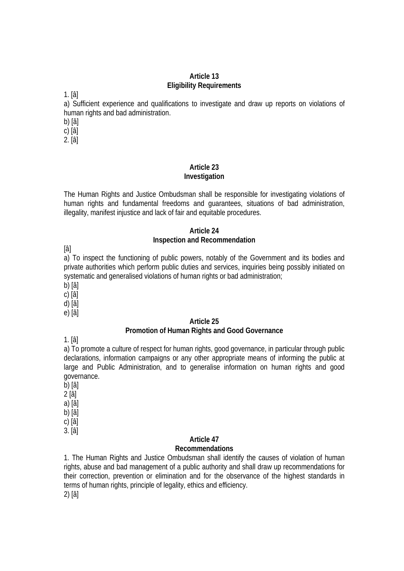#### **Article 13 Eligibility Requirements**

1. [â]

a) Sufficient experience and qualifications to investigate and draw up reports on violations of human rights and bad administration.

b) [â]

c) [â]

2. [â]

# **Article 23 Investigation**

The Human Rights and Justice Ombudsman shall be responsible for investigating violations of human rights and fundamental freedoms and guarantees, situations of bad administration, illegality, manifest injustice and lack of fair and equitable procedures.

## **Article 24 Inspection and Recommendation**

[â]

a) To inspect the functioning of public powers, notably of the Government and its bodies and private authorities which perform public duties and services, inquiries being possibly initiated on systematic and generalised violations of human rights or bad administration;

b) [â]

c) [â]

d) [â]

e) [â]

# **Article 25 Promotion of Human Rights and Good Governance**

1. [â]

a) To promote a culture of respect for human rights, good governance, in particular through public declarations, information campaigns or any other appropriate means of informing the public at large and Public Administration, and to generalise information on human rights and good governance.

b) [â]

2 [â]

a) [â]

b) [â]

c) [â]

3. [â]

# **Article 47**

## **Recommendations**

1. The Human Rights and Justice Ombudsman shall identify the causes of violation of human rights, abuse and bad management of a public authority and shall draw up recommendations for their correction, prevention or elimination and for the observance of the highest standards in terms of human rights, principle of legality, ethics and efficiency.

2) [â]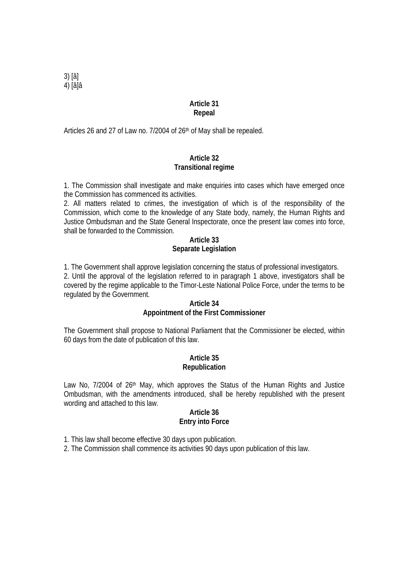3) [â] 4) [â]â

#### **Article 31 Repeal**

Articles 26 and 27 of Law no. 7/2004 of 26th of May shall be repealed.

# **Article 32 Transitional regime**

1. The Commission shall investigate and make enquiries into cases which have emerged once the Commission has commenced its activities.

2. All matters related to crimes, the investigation of which is of the responsibility of the Commission, which come to the knowledge of any State body, namely, the Human Rights and Justice Ombudsman and the State General Inspectorate, once the present law comes into force, shall be forwarded to the Commission.

## **Article 33 Separate Legislation**

1. The Government shall approve legislation concerning the status of professional investigators. 2. Until the approval of the legislation referred to in paragraph 1 above, investigators shall be covered by the regime applicable to the Timor-Leste National Police Force, under the terms to be regulated by the Government.

# **Article 34 Appointment of the First Commissioner**

The Government shall propose to National Parliament that the Commissioner be elected, within 60 days from the date of publication of this law.

# **Article 35 Republication**

Law No, 7/2004 of 26<sup>th</sup> May, which approves the Status of the Human Rights and Justice Ombudsman, with the amendments introduced, shall be hereby republished with the present wording and attached to this law.

## **Article 36 Entry into Force**

1. This law shall become effective 30 days upon publication.

2. The Commission shall commence its activities 90 days upon publication of this law.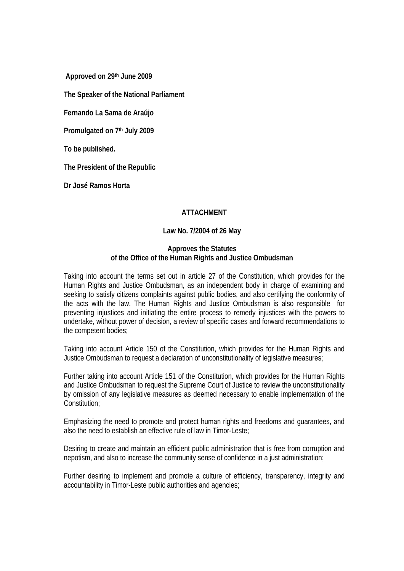**Approved on 29th June 2009** 

**The Speaker of the National Parliament** 

**Fernando La Sama de Araújo** 

**Promulgated on 7th July 2009** 

**To be published.** 

**The President of the Republic** 

**Dr José Ramos Horta** 

## **ATTACHMENT**

#### **Law No. 7/2004 of 26 May**

#### **Approves the Statutes of the Office of the Human Rights and Justice Ombudsman**

Taking into account the terms set out in article 27 of the Constitution, which provides for the Human Rights and Justice Ombudsman, as an independent body in charge of examining and seeking to satisfy citizens complaints against public bodies, and also certifying the conformity of the acts with the law. The Human Rights and Justice Ombudsman is also responsible for preventing injustices and initiating the entire process to remedy injustices with the powers to undertake, without power of decision, a review of specific cases and forward recommendations to the competent bodies;

Taking into account Article 150 of the Constitution, which provides for the Human Rights and Justice Ombudsman to request a declaration of unconstitutionality of legislative measures;

Further taking into account Article 151 of the Constitution, which provides for the Human Rights and Justice Ombudsman to request the Supreme Court of Justice to review the unconstitutionality by omission of any legislative measures as deemed necessary to enable implementation of the Constitution;

Emphasizing the need to promote and protect human rights and freedoms and guarantees, and also the need to establish an effective rule of law in Timor-Leste;

Desiring to create and maintain an efficient public administration that is free from corruption and nepotism, and also to increase the community sense of confidence in a just administration;

Further desiring to implement and promote a culture of efficiency, transparency, integrity and accountability in Timor-Leste public authorities and agencies;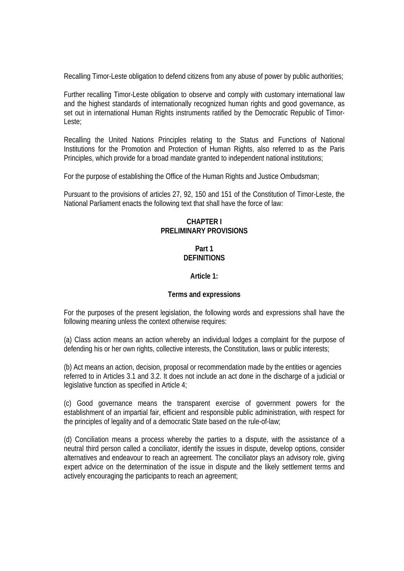Recalling Timor-Leste obligation to defend citizens from any abuse of power by public authorities;

Further recalling Timor-Leste obligation to observe and comply with customary international law and the highest standards of internationally recognized human rights and good governance, as set out in international Human Rights instruments ratified by the Democratic Republic of Timor-Leste;

Recalling the United Nations Principles relating to the Status and Functions of National Institutions for the Promotion and Protection of Human Rights, also referred to as the Paris Principles, which provide for a broad mandate granted to independent national institutions;

For the purpose of establishing the Office of the Human Rights and Justice Ombudsman;

Pursuant to the provisions of articles 27, 92, 150 and 151 of the Constitution of Timor-Leste, the National Parliament enacts the following text that shall have the force of law:

# **CHAPTER I PRELIMINARY PROVISIONS**

# **Part 1 DEFINITIONS**

# **Article 1:**

## **Terms and expressions**

For the purposes of the present legislation, the following words and expressions shall have the following meaning unless the context otherwise requires:

(a) Class action means an action whereby an individual lodges a complaint for the purpose of defending his or her own rights, collective interests, the Constitution, laws or public interests;

(b) Act means an action, decision, proposal or recommendation made by the entities or agencies referred to in Articles 3.1 and 3.2. It does not include an act done in the discharge of a judicial or legislative function as specified in Article 4;

(c) Good governance means the transparent exercise of government powers for the establishment of an impartial fair, efficient and responsible public administration, with respect for the principles of legality and of a democratic State based on the rule-of-law;

(d) Conciliation means a process whereby the parties to a dispute, with the assistance of a neutral third person called a conciliator, identify the issues in dispute, develop options, consider alternatives and endeavour to reach an agreement. The conciliator plays an advisory role, giving expert advice on the determination of the issue in dispute and the likely settlement terms and actively encouraging the participants to reach an agreement;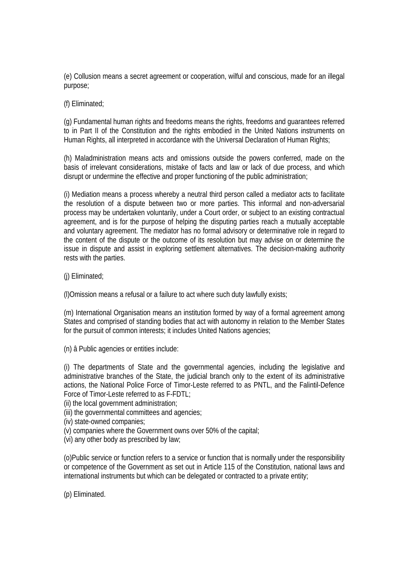(e) Collusion means a secret agreement or cooperation, wilful and conscious, made for an illegal purpose;

(f) Eliminated;

(g) Fundamental human rights and freedoms means the rights, freedoms and guarantees referred to in Part II of the Constitution and the rights embodied in the United Nations instruments on Human Rights, all interpreted in accordance with the Universal Declaration of Human Rights;

(h) Maladministration means acts and omissions outside the powers conferred, made on the basis of irrelevant considerations, mistake of facts and law or lack of due process, and which disrupt or undermine the effective and proper functioning of the public administration;

(i) Mediation means a process whereby a neutral third person called a mediator acts to facilitate the resolution of a dispute between two or more parties. This informal and non-adversarial process may be undertaken voluntarily, under a Court order, or subject to an existing contractual agreement, and is for the purpose of helping the disputing parties reach a mutually acceptable and voluntary agreement. The mediator has no formal advisory or determinative role in regard to the content of the dispute or the outcome of its resolution but may advise on or determine the issue in dispute and assist in exploring settlement alternatives. The decision-making authority rests with the parties.

(j) Eliminated;

(l)Omission means a refusal or a failure to act where such duty lawfully exists;

(m) International Organisation means an institution formed by way of a formal agreement among States and comprised of standing bodies that act with autonomy in relation to the Member States for the pursuit of common interests; it includes United Nations agencies;

(n) â Public agencies or entities include:

(i) The departments of State and the governmental agencies, including the legislative and administrative branches of the State, the judicial branch only to the extent of its administrative actions, the National Police Force of Timor-Leste referred to as PNTL, and the Falintil-Defence Force of Timor-Leste referred to as F-FDTL;

(ii) the local government administration;

(iii) the governmental committees and agencies;

- (iv) state-owned companies;
- (v) companies where the Government owns over 50% of the capital;
- (vi) any other body as prescribed by law;

(o)Public service or function refers to a service or function that is normally under the responsibility or competence of the Government as set out in Article 115 of the Constitution, national laws and international instruments but which can be delegated or contracted to a private entity;

(p) Eliminated.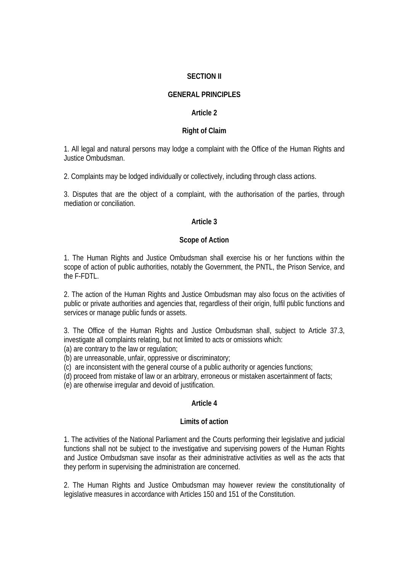## **SECTION II**

# **GENERAL PRINCIPLES**

#### **Article 2**

## **Right of Claim**

1. All legal and natural persons may lodge a complaint with the Office of the Human Rights and Justice Ombudsman.

2. Complaints may be lodged individually or collectively, including through class actions.

3. Disputes that are the object of a complaint, with the authorisation of the parties, through mediation or conciliation.

# **Article 3**

#### **Scope of Action**

1. The Human Rights and Justice Ombudsman shall exercise his or her functions within the scope of action of public authorities, notably the Government, the PNTL, the Prison Service, and the F-FDTL.

2. The action of the Human Rights and Justice Ombudsman may also focus on the activities of public or private authorities and agencies that, regardless of their origin, fulfil public functions and services or manage public funds or assets.

3. The Office of the Human Rights and Justice Ombudsman shall, subject to Article 37.3, investigate all complaints relating, but not limited to acts or omissions which:

(a) are contrary to the law or regulation;

(b) are unreasonable, unfair, oppressive or discriminatory;

(c) are inconsistent with the general course of a public authority or agencies functions;

(d) proceed from mistake of law or an arbitrary, erroneous or mistaken ascertainment of facts;

(e) are otherwise irregular and devoid of justification.

## **Article 4**

#### **Limits of action**

1. The activities of the National Parliament and the Courts performing their legislative and judicial functions shall not be subject to the investigative and supervising powers of the Human Rights and Justice Ombudsman save insofar as their administrative activities as well as the acts that they perform in supervising the administration are concerned.

2. The Human Rights and Justice Ombudsman may however review the constitutionality of legislative measures in accordance with Articles 150 and 151 of the Constitution.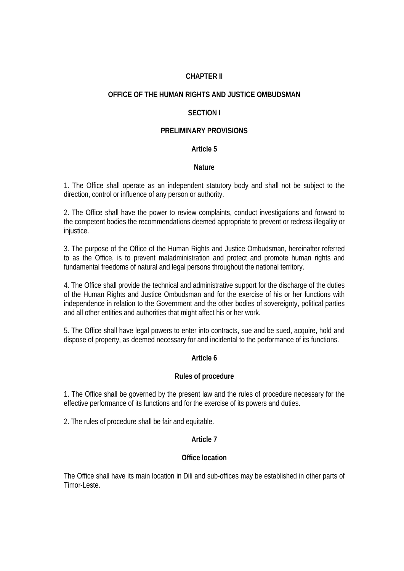# **CHAPTER II**

## **OFFICE OF THE HUMAN RIGHTS AND JUSTICE OMBUDSMAN**

#### **SECTION I**

#### **PRELIMINARY PROVISIONS**

#### **Article 5**

#### **Nature**

1. The Office shall operate as an independent statutory body and shall not be subject to the direction, control or influence of any person or authority.

2. The Office shall have the power to review complaints, conduct investigations and forward to the competent bodies the recommendations deemed appropriate to prevent or redress illegality or injustice.

3. The purpose of the Office of the Human Rights and Justice Ombudsman, hereinafter referred to as the Office, is to prevent maladministration and protect and promote human rights and fundamental freedoms of natural and legal persons throughout the national territory.

4. The Office shall provide the technical and administrative support for the discharge of the duties of the Human Rights and Justice Ombudsman and for the exercise of his or her functions with independence in relation to the Government and the other bodies of sovereignty, political parties and all other entities and authorities that might affect his or her work.

5. The Office shall have legal powers to enter into contracts, sue and be sued, acquire, hold and dispose of property, as deemed necessary for and incidental to the performance of its functions.

## **Article 6**

## **Rules of procedure**

1. The Office shall be governed by the present law and the rules of procedure necessary for the effective performance of its functions and for the exercise of its powers and duties.

2. The rules of procedure shall be fair and equitable.

#### **Article 7**

#### **Office location**

The Office shall have its main location in Dili and sub-offices may be established in other parts of Timor-Leste.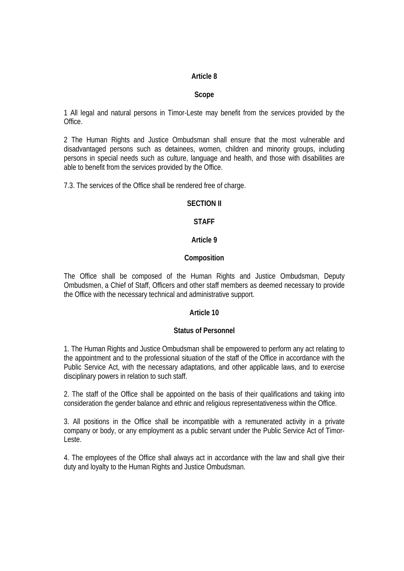# **Scope**

1 All legal and natural persons in Timor-Leste may benefit from the services provided by the Office.

2 The Human Rights and Justice Ombudsman shall ensure that the most vulnerable and disadvantaged persons such as detainees, women, children and minority groups, including persons in special needs such as culture, language and health, and those with disabilities are able to benefit from the services provided by the Office.

7.3. The services of the Office shall be rendered free of charge.

## **SECTION II**

# **STAFF**

#### **Article 9**

## **Composition**

The Office shall be composed of the Human Rights and Justice Ombudsman, Deputy Ombudsmen, a Chief of Staff, Officers and other staff members as deemed necessary to provide the Office with the necessary technical and administrative support.

## **Article 10**

## **Status of Personnel**

1. The Human Rights and Justice Ombudsman shall be empowered to perform any act relating to the appointment and to the professional situation of the staff of the Office in accordance with the Public Service Act, with the necessary adaptations, and other applicable laws, and to exercise disciplinary powers in relation to such staff.

2. The staff of the Office shall be appointed on the basis of their qualifications and taking into consideration the gender balance and ethnic and religious representativeness within the Office.

3. All positions in the Office shall be incompatible with a remunerated activity in a private company or body, or any employment as a public servant under the Public Service Act of Timor-Leste.

4. The employees of the Office shall always act in accordance with the law and shall give their duty and loyalty to the Human Rights and Justice Ombudsman.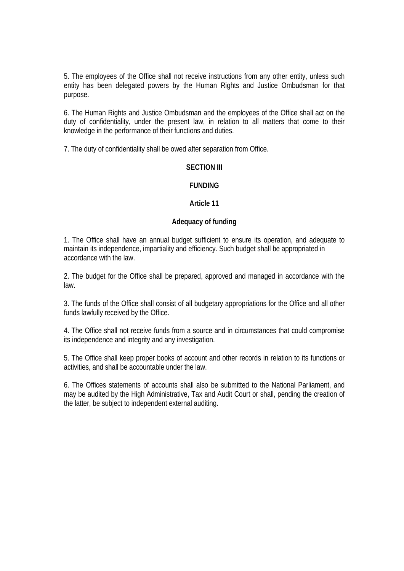5. The employees of the Office shall not receive instructions from any other entity, unless such entity has been delegated powers by the Human Rights and Justice Ombudsman for that purpose.

6. The Human Rights and Justice Ombudsman and the employees of the Office shall act on the duty of confidentiality, under the present law, in relation to all matters that come to their knowledge in the performance of their functions and duties.

7. The duty of confidentiality shall be owed after separation from Office.

# **SECTION III**

# **FUNDING**

# **Article 11**

## **Adequacy of funding**

1. The Office shall have an annual budget sufficient to ensure its operation, and adequate to maintain its independence, impartiality and efficiency. Such budget shall be appropriated in accordance with the law.

2. The budget for the Office shall be prepared, approved and managed in accordance with the law.

3. The funds of the Office shall consist of all budgetary appropriations for the Office and all other funds lawfully received by the Office.

4. The Office shall not receive funds from a source and in circumstances that could compromise its independence and integrity and any investigation.

5. The Office shall keep proper books of account and other records in relation to its functions or activities, and shall be accountable under the law.

6. The Offices statements of accounts shall also be submitted to the National Parliament, and may be audited by the High Administrative, Tax and Audit Court or shall, pending the creation of the latter, be subject to independent external auditing.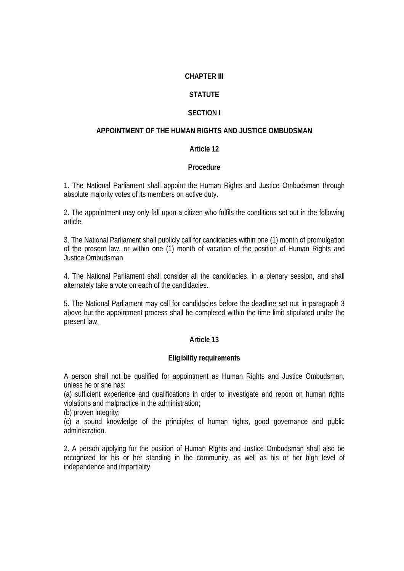# **CHAPTER III**

# **STATUTE**

# **SECTION I**

# **APPOINTMENT OF THE HUMAN RIGHTS AND JUSTICE OMBUDSMAN**

# **Article 12**

## **Procedure**

1. The National Parliament shall appoint the Human Rights and Justice Ombudsman through absolute majority votes of its members on active duty.

2. The appointment may only fall upon a citizen who fulfils the conditions set out in the following article.

3. The National Parliament shall publicly call for candidacies within one (1) month of promulgation of the present law, or within one (1) month of vacation of the position of Human Rights and Justice Ombudsman.

4. The National Parliament shall consider all the candidacies, in a plenary session, and shall alternately take a vote on each of the candidacies.

5. The National Parliament may call for candidacies before the deadline set out in paragraph 3 above but the appointment process shall be completed within the time limit stipulated under the present law.

## **Article 13**

## **Eligibility requirements**

A person shall not be qualified for appointment as Human Rights and Justice Ombudsman, unless he or she has:

(a) sufficient experience and qualifications in order to investigate and report on human rights violations and malpractice in the administration;

(b) proven integrity;

(c) a sound knowledge of the principles of human rights, good governance and public administration.

2. A person applying for the position of Human Rights and Justice Ombudsman shall also be recognized for his or her standing in the community, as well as his or her high level of independence and impartiality.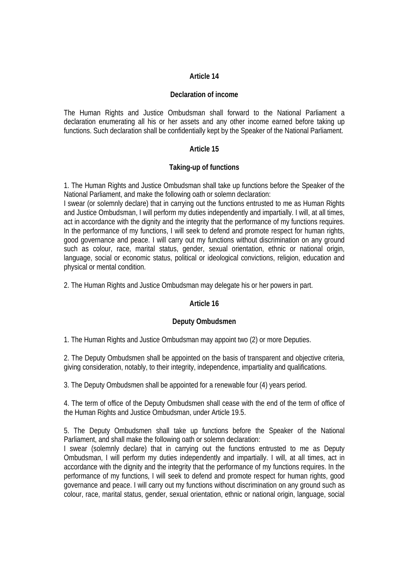#### **Declaration of income**

The Human Rights and Justice Ombudsman shall forward to the National Parliament a declaration enumerating all his or her assets and any other income earned before taking up functions. Such declaration shall be confidentially kept by the Speaker of the National Parliament.

## **Article 15**

## **Taking-up of functions**

1. The Human Rights and Justice Ombudsman shall take up functions before the Speaker of the National Parliament, and make the following oath or solemn declaration:

I swear (or solemnly declare) that in carrying out the functions entrusted to me as Human Rights and Justice Ombudsman, I will perform my duties independently and impartially. I will, at all times, act in accordance with the dignity and the integrity that the performance of my functions requires. In the performance of my functions, I will seek to defend and promote respect for human rights, good governance and peace. I will carry out my functions without discrimination on any ground such as colour, race, marital status, gender, sexual orientation, ethnic or national origin, language, social or economic status, political or ideological convictions, religion, education and physical or mental condition.

2. The Human Rights and Justice Ombudsman may delegate his or her powers in part.

## **Article 16**

## **Deputy Ombudsmen**

1. The Human Rights and Justice Ombudsman may appoint two (2) or more Deputies.

2. The Deputy Ombudsmen shall be appointed on the basis of transparent and objective criteria, giving consideration, notably, to their integrity, independence, impartiality and qualifications.

3. The Deputy Ombudsmen shall be appointed for a renewable four (4) years period.

4. The term of office of the Deputy Ombudsmen shall cease with the end of the term of office of the Human Rights and Justice Ombudsman, under Article 19.5.

5. The Deputy Ombudsmen shall take up functions before the Speaker of the National Parliament, and shall make the following oath or solemn declaration:

I swear (solemnly declare) that in carrying out the functions entrusted to me as Deputy Ombudsman, I will perform my duties independently and impartially. I will, at all times, act in accordance with the dignity and the integrity that the performance of my functions requires. In the performance of my functions, I will seek to defend and promote respect for human rights, good governance and peace. I will carry out my functions without discrimination on any ground such as colour, race, marital status, gender, sexual orientation, ethnic or national origin, language, social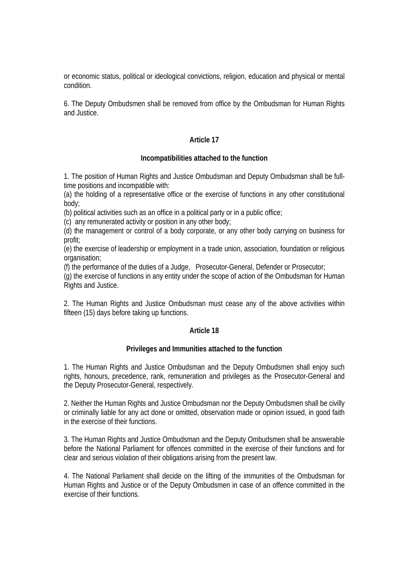or economic status, political or ideological convictions, religion, education and physical or mental condition.

6. The Deputy Ombudsmen shall be removed from office by the Ombudsman for Human Rights and Justice.

## **Article 17**

## **Incompatibilities attached to the function**

1. The position of Human Rights and Justice Ombudsman and Deputy Ombudsman shall be fulltime positions and incompatible with:

(a) the holding of a representative office or the exercise of functions in any other constitutional body;

(b) political activities such as an office in a political party or in a public office;

(c) any remunerated activity or position in any other body;

(d) the management or control of a body corporate, or any other body carrying on business for profit;

(e) the exercise of leadership or employment in a trade union, association, foundation or religious organisation;

(f) the performance of the duties of a Judge, Prosecutor-General, Defender or Prosecutor;

(g) the exercise of functions in any entity under the scope of action of the Ombudsman for Human Rights and Justice.

2. The Human Rights and Justice Ombudsman must cease any of the above activities within fifteen (15) days before taking up functions.

## **Article 18**

## **Privileges and Immunities attached to the function**

1. The Human Rights and Justice Ombudsman and the Deputy Ombudsmen shall enjoy such rights, honours, precedence, rank, remuneration and privileges as the Prosecutor-General and the Deputy Prosecutor-General, respectively.

2. Neither the Human Rights and Justice Ombudsman nor the Deputy Ombudsmen shall be civilly or criminally liable for any act done or omitted, observation made or opinion issued, in good faith in the exercise of their functions.

3. The Human Rights and Justice Ombudsman and the Deputy Ombudsmen shall be answerable before the National Parliament for offences committed in the exercise of their functions and for clear and serious violation of their obligations arising from the present law.

4. The National Parliament shall decide on the lifting of the immunities of the Ombudsman for Human Rights and Justice or of the Deputy Ombudsmen in case of an offence committed in the exercise of their functions.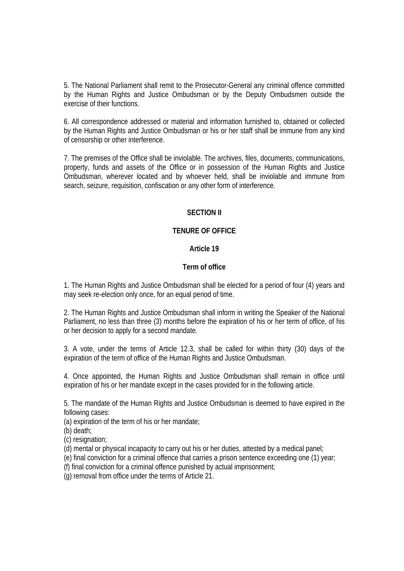5. The National Parliament shall remit to the Prosecutor-General any criminal offence committed by the Human Rights and Justice Ombudsman or by the Deputy Ombudsmen outside the exercise of their functions.

6. All correspondence addressed or material and information furnished to, obtained or collected by the Human Rights and Justice Ombudsman or his or her staff shall be immune from any kind of censorship or other interference.

7. The premises of the Office shall be inviolable. The archives, files, documents, communications, property, funds and assets of the Office or in possession of the Human Rights and Justice Ombudsman, wherever located and by whoever held, shall be inviolable and immune from search, seizure, requisition, confiscation or any other form of interference.

#### **SECTION II**

## **TENURE OF OFFICE**

# **Article 19**

#### **Term of office**

1. The Human Rights and Justice Ombudsman shall be elected for a period of four (4) years and may seek re-election only once, for an equal period of time.

2. The Human Rights and Justice Ombudsman shall inform in writing the Speaker of the National Parliament, no less than three (3) months before the expiration of his or her term of office, of his or her decision to apply for a second mandate.

3. A vote, under the terms of Article 12.3, shall be called for within thirty (30) days of the expiration of the term of office of the Human Rights and Justice Ombudsman.

4. Once appointed, the Human Rights and Justice Ombudsman shall remain in office until expiration of his or her mandate except in the cases provided for in the following article.

5. The mandate of the Human Rights and Justice Ombudsman is deemed to have expired in the following cases:

(a) expiration of the term of his or her mandate;

(b) death;

(c) resignation;

(d) mental or physical incapacity to carry out his or her duties, attested by a medical panel;

(e) final conviction for a criminal offence that carries a prison sentence exceeding one (1) year;

(f) final conviction for a criminal offence punished by actual imprisonment;

(g) removal from office under the terms of Article 21.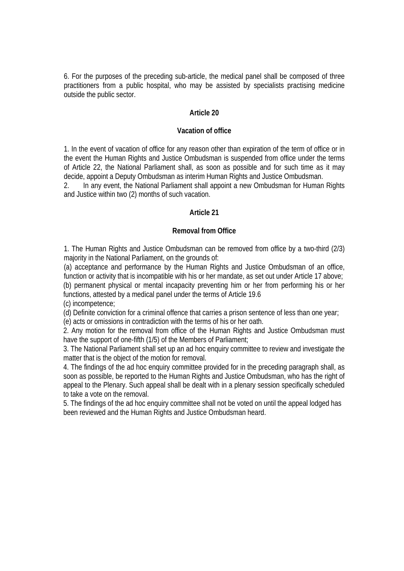6. For the purposes of the preceding sub-article, the medical panel shall be composed of three practitioners from a public hospital, who may be assisted by specialists practising medicine outside the public sector.

#### **Article 20**

#### **Vacation of office**

1. In the event of vacation of office for any reason other than expiration of the term of office or in the event the Human Rights and Justice Ombudsman is suspended from office under the terms of Article 22, the National Parliament shall, as soon as possible and for such time as it may decide, appoint a Deputy Ombudsman as interim Human Rights and Justice Ombudsman.

2. In any event, the National Parliament shall appoint a new Ombudsman for Human Rights and Justice within two (2) months of such vacation.

#### **Article 21**

#### **Removal from Office**

1. The Human Rights and Justice Ombudsman can be removed from office by a two-third (2/3) majority in the National Parliament, on the grounds of:

(a) acceptance and performance by the Human Rights and Justice Ombudsman of an office, function or activity that is incompatible with his or her mandate, as set out under Article 17 above; (b) permanent physical or mental incapacity preventing him or her from performing his or her functions, attested by a medical panel under the terms of Article 19.6

(c) incompetence;

(d) Definite conviction for a criminal offence that carries a prison sentence of less than one year;

(e) acts or omissions in contradiction with the terms of his or her oath.

2. Any motion for the removal from office of the Human Rights and Justice Ombudsman must have the support of one-fifth (1/5) of the Members of Parliament;

3. The National Parliament shall set up an ad hoc enquiry committee to review and investigate the matter that is the object of the motion for removal.

4. The findings of the ad hoc enquiry committee provided for in the preceding paragraph shall, as soon as possible, be reported to the Human Rights and Justice Ombudsman, who has the right of appeal to the Plenary. Such appeal shall be dealt with in a plenary session specifically scheduled to take a vote on the removal.

5. The findings of the ad hoc enquiry committee shall not be voted on until the appeal lodged has been reviewed and the Human Rights and Justice Ombudsman heard.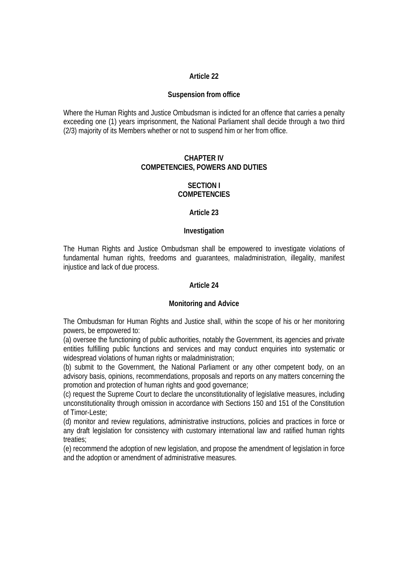#### **Suspension from office**

Where the Human Rights and Justice Ombudsman is indicted for an offence that carries a penalty exceeding one (1) years imprisonment, the National Parliament shall decide through a two third (2/3) majority of its Members whether or not to suspend him or her from office.

#### **CHAPTER IV COMPETENCIES, POWERS AND DUTIES**

#### **SECTION I COMPETENCIES**

#### **Article 23**

## **Investigation**

The Human Rights and Justice Ombudsman shall be empowered to investigate violations of fundamental human rights, freedoms and guarantees, maladministration, illegality, manifest injustice and lack of due process.

#### **Article 24**

#### **Monitoring and Advice**

The Ombudsman for Human Rights and Justice shall, within the scope of his or her monitoring powers, be empowered to:

(a) oversee the functioning of public authorities, notably the Government, its agencies and private entities fulfilling public functions and services and may conduct enquiries into systematic or widespread violations of human rights or maladministration;

(b) submit to the Government, the National Parliament or any other competent body, on an advisory basis, opinions, recommendations, proposals and reports on any matters concerning the promotion and protection of human rights and good governance;

(c) request the Supreme Court to declare the unconstitutionality of legislative measures, including unconstitutionality through omission in accordance with Sections 150 and 151 of the Constitution of Timor-Leste;

(d) monitor and review regulations, administrative instructions, policies and practices in force or any draft legislation for consistency with customary international law and ratified human rights treaties;

(e) recommend the adoption of new legislation, and propose the amendment of legislation in force and the adoption or amendment of administrative measures.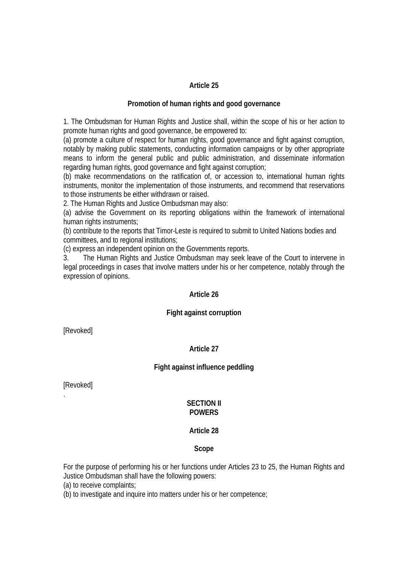#### **Promotion of human rights and good governance**

1. The Ombudsman for Human Rights and Justice shall, within the scope of his or her action to promote human rights and good governance, be empowered to:

(a) promote a culture of respect for human rights, good governance and fight against corruption, notably by making public statements, conducting information campaigns or by other appropriate means to inform the general public and public administration, and disseminate information regarding human rights, good governance and fight against corruption;

(b) make recommendations on the ratification of, or accession to, international human rights instruments, monitor the implementation of those instruments, and recommend that reservations to those instruments be either withdrawn or raised.

2. The Human Rights and Justice Ombudsman may also:

(a) advise the Government on its reporting obligations within the framework of international human rights instruments;

(b) contribute to the reports that Timor-Leste is required to submit to United Nations bodies and committees, and to regional institutions;

(c) express an independent opinion on the Governments reports.

3. The Human Rights and Justice Ombudsman may seek leave of the Court to intervene in legal proceedings in cases that involve matters under his or her competence, notably through the expression of opinions.

#### **Article 26**

## **Fight against corruption**

[Revoked]

#### **Article 27**

#### **Fight against influence peddling**

[Revoked]

.

#### **SECTION II POWERS**

#### **Article 28**

#### **Scope**

For the purpose of performing his or her functions under Articles 23 to 25, the Human Rights and Justice Ombudsman shall have the following powers:

(a) to receive complaints;

(b) to investigate and inquire into matters under his or her competence;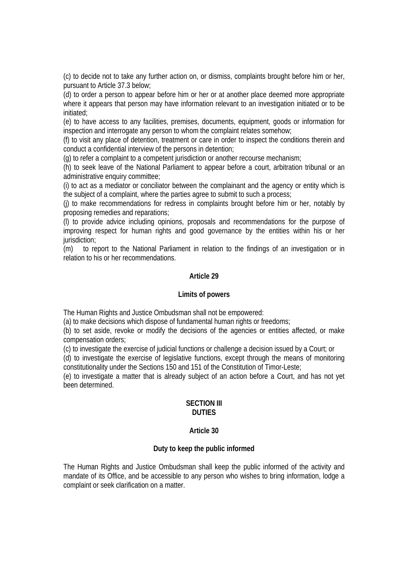(c) to decide not to take any further action on, or dismiss, complaints brought before him or her, pursuant to Article 37.3 below;

(d) to order a person to appear before him or her or at another place deemed more appropriate where it appears that person may have information relevant to an investigation initiated or to be initiated;

(e) to have access to any facilities, premises, documents, equipment, goods or information for inspection and interrogate any person to whom the complaint relates somehow;

(f) to visit any place of detention, treatment or care in order to inspect the conditions therein and conduct a confidential interview of the persons in detention;

(g) to refer a complaint to a competent jurisdiction or another recourse mechanism;

(h) to seek leave of the National Parliament to appear before a court, arbitration tribunal or an administrative enquiry committee;

(i) to act as a mediator or conciliator between the complainant and the agency or entity which is the subject of a complaint, where the parties agree to submit to such a process;

(j) to make recommendations for redress in complaints brought before him or her, notably by proposing remedies and reparations;

(l) to provide advice including opinions, proposals and recommendations for the purpose of improving respect for human rights and good governance by the entities within his or her jurisdiction;

(m) to report to the National Parliament in relation to the findings of an investigation or in relation to his or her recommendations.

#### **Article 29**

#### **Limits of powers**

The Human Rights and Justice Ombudsman shall not be empowered:

(a) to make decisions which dispose of fundamental human rights or freedoms;

(b) to set aside, revoke or modify the decisions of the agencies or entities affected, or make compensation orders;

(c) to investigate the exercise of judicial functions or challenge a decision issued by a Court; or

(d) to investigate the exercise of legislative functions, except through the means of monitoring constitutionality under the Sections 150 and 151 of the Constitution of Timor-Leste;

(e) to investigate a matter that is already subject of an action before a Court, and has not yet been determined.

#### **SECTION III DUTIES**

#### **Article 30**

#### **Duty to keep the public informed**

The Human Rights and Justice Ombudsman shall keep the public informed of the activity and mandate of its Office, and be accessible to any person who wishes to bring information, lodge a complaint or seek clarification on a matter.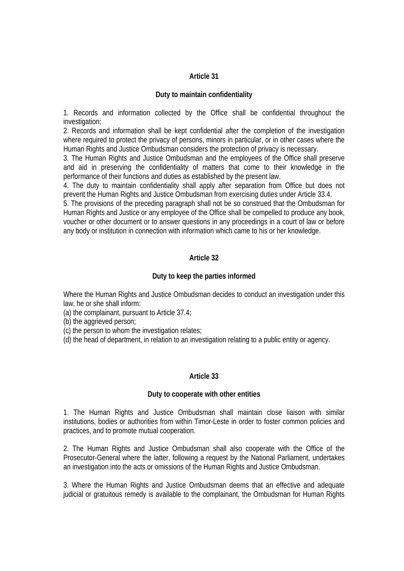#### **Duty to maintain confidentiality**

1. Records and information collected by the Office shall be confidential throughout the investigation;

2. Records and information shall be kept confidential after the completion of the investigation where required to protect the privacy of persons, minors in particular, or in other cases where the Human Rights and Justice Ombudsman considers the protection of privacy is necessary.

3. The Human Rights and Justice Ombudsman and the employees of the Office shall preserve and aid in preserving the confidentiality of matters that come to their knowledge in the performance of their functions and duties as established by the present law.

4. The duty to maintain confidentiality shall apply after separation from Office but does not prevent the Human Rights and Justice Ombudsman from exercising duties under Article 33.4.

5. The provisions of the preceding paragraph shall not be so construed that the Ombudsman for Human Rights and Justice or any employee of the Office shall be compelled to produce any book, voucher or other document or to answer questions in any proceedings in a court of law or before any body or institution in connection with information which came to his or her knowledge.

# **Article 32**

## **Duty to keep the parties informed**

Where the Human Rights and Justice Ombudsman decides to conduct an investigation under this law, he or she shall inform:

(a) the complainant, pursuant to Article 37.4;

(b) the aggrieved person;

(c) the person to whom the investigation relates;

(d) the head of department, in relation to an investigation relating to a public entity or agency.

## **Article 33**

#### **Duty to cooperate with other entities**

1. The Human Rights and Justice Ombudsman shall maintain close liaison with similar institutions, bodies or authorities from within Timor-Leste in order to foster common policies and practices, and to promote mutual cooperation.

2. The Human Rights and Justice Ombudsman shall also cooperate with the Office of the Prosecutor-General where the latter, following a request by the National Parliament, undertakes an investigation into the acts or omissions of the Human Rights and Justice Ombudsman.

3. Where the Human Rights and Justice Ombudsman deems that an effective and adequate judicial or gratuitous remedy is available to the complainant, the Ombudsman for Human Rights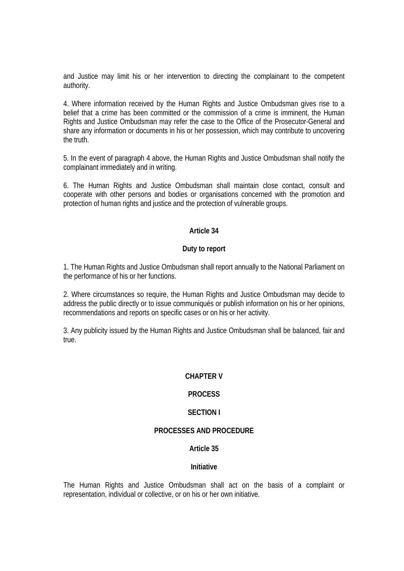and Justice may limit his or her intervention to directing the complainant to the competent authority.

4. Where information received by the Human Rights and Justice Ombudsman gives rise to a belief that a crime has been committed or the commission of a crime is imminent, the Human Rights and Justice Ombudsman may refer the case to the Office of the Prosecutor-General and share any information or documents in his or her possession, which may contribute to uncovering the truth.

5. In the event of paragraph 4 above, the Human Rights and Justice Ombudsman shall notify the complainant immediately and in writing.

6. The Human Rights and Justice Ombudsman shall maintain close contact, consult and cooperate with other persons and bodies or organisations concerned with the promotion and protection of human rights and justice and the protection of vulnerable groups.

## **Article 34**

#### **Duty to report**

1. The Human Rights and Justice Ombudsman shall report annually to the National Parliament on the performance of his or her functions.

2. Where circumstances so require, the Human Rights and Justice Ombudsman may decide to address the public directly or to issue communiqués or publish information on his or her opinions, recommendations and reports on specific cases or on his or her activity.

3. Any publicity issued by the Human Rights and Justice Ombudsman shall be balanced, fair and true.

#### **CHAPTER V**

## **PROCESS**

## **SECTION I**

#### **PROCESSES AND PROCEDURE**

#### **Article 35**

#### **Initiative**

The Human Rights and Justice Ombudsman shall act on the basis of a complaint or representation, individual or collective, or on his or her own initiative.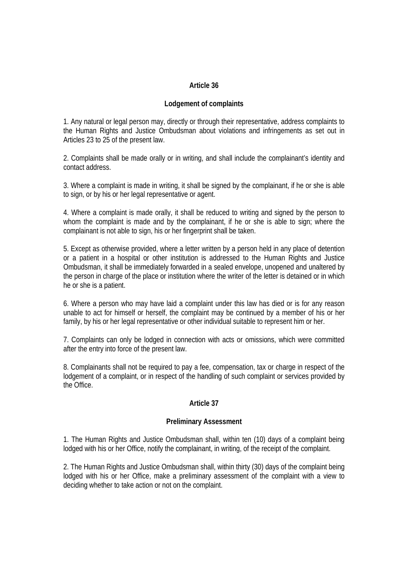# **Lodgement of complaints**

1. Any natural or legal person may, directly or through their representative, address complaints to the Human Rights and Justice Ombudsman about violations and infringements as set out in Articles 23 to 25 of the present law.

2. Complaints shall be made orally or in writing, and shall include the complainant's identity and contact address.

3. Where a complaint is made in writing, it shall be signed by the complainant, if he or she is able to sign, or by his or her legal representative or agent.

4. Where a complaint is made orally, it shall be reduced to writing and signed by the person to whom the complaint is made and by the complainant, if he or she is able to sign; where the complainant is not able to sign, his or her fingerprint shall be taken.

5. Except as otherwise provided, where a letter written by a person held in any place of detention or a patient in a hospital or other institution is addressed to the Human Rights and Justice Ombudsman, it shall be immediately forwarded in a sealed envelope, unopened and unaltered by the person in charge of the place or institution where the writer of the letter is detained or in which he or she is a patient.

6. Where a person who may have laid a complaint under this law has died or is for any reason unable to act for himself or herself, the complaint may be continued by a member of his or her family, by his or her legal representative or other individual suitable to represent him or her.

7. Complaints can only be lodged in connection with acts or omissions, which were committed after the entry into force of the present law.

8. Complainants shall not be required to pay a fee, compensation, tax or charge in respect of the lodgement of a complaint, or in respect of the handling of such complaint or services provided by the Office.

## **Article 37**

#### **Preliminary Assessment**

1. The Human Rights and Justice Ombudsman shall, within ten (10) days of a complaint being lodged with his or her Office, notify the complainant, in writing, of the receipt of the complaint.

2. The Human Rights and Justice Ombudsman shall, within thirty (30) days of the complaint being lodged with his or her Office, make a preliminary assessment of the complaint with a view to deciding whether to take action or not on the complaint.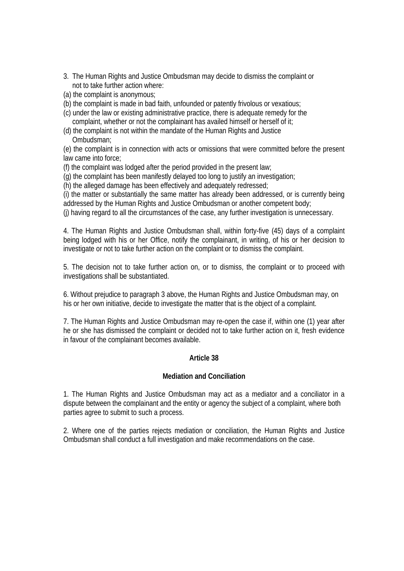- 3. The Human Rights and Justice Ombudsman may decide to dismiss the complaint or not to take further action where:
- (a) the complaint is anonymous;
- (b) the complaint is made in bad faith, unfounded or patently frivolous or vexatious;
- (c) under the law or existing administrative practice, there is adequate remedy for the complaint, whether or not the complainant has availed himself or herself of it;
- (d) the complaint is not within the mandate of the Human Rights and Justice Ombudsman;

(e) the complaint is in connection with acts or omissions that were committed before the present law came into force;

(f) the complaint was lodged after the period provided in the present law;

(g) the complaint has been manifestly delayed too long to justify an investigation;

(h) the alleged damage has been effectively and adequately redressed;

(i) the matter or substantially the same matter has already been addressed, or is currently being addressed by the Human Rights and Justice Ombudsman or another competent body;

(j) having regard to all the circumstances of the case, any further investigation is unnecessary.

4. The Human Rights and Justice Ombudsman shall, within forty-five (45) days of a complaint being lodged with his or her Office, notify the complainant, in writing, of his or her decision to investigate or not to take further action on the complaint or to dismiss the complaint.

5. The decision not to take further action on, or to dismiss, the complaint or to proceed with investigations shall be substantiated.

6. Without prejudice to paragraph 3 above, the Human Rights and Justice Ombudsman may, on his or her own initiative, decide to investigate the matter that is the object of a complaint.

7. The Human Rights and Justice Ombudsman may re-open the case if, within one (1) year after he or she has dismissed the complaint or decided not to take further action on it, fresh evidence in favour of the complainant becomes available.

# **Article 38**

## **Mediation and Conciliation**

1. The Human Rights and Justice Ombudsman may act as a mediator and a conciliator in a dispute between the complainant and the entity or agency the subject of a complaint, where both parties agree to submit to such a process.

2. Where one of the parties rejects mediation or conciliation, the Human Rights and Justice Ombudsman shall conduct a full investigation and make recommendations on the case.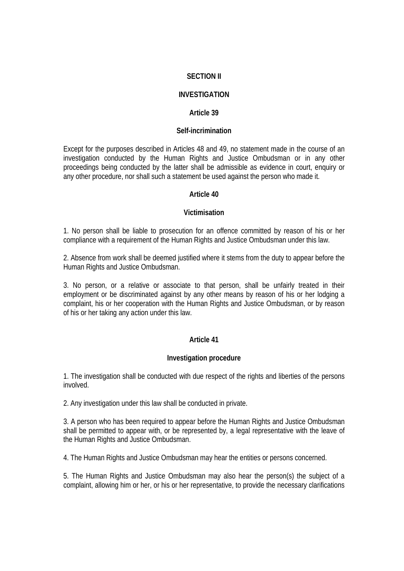# **SECTION II**

# **INVESTIGATION**

## **Article 39**

#### **Self-incrimination**

Except for the purposes described in Articles 48 and 49, no statement made in the course of an investigation conducted by the Human Rights and Justice Ombudsman or in any other proceedings being conducted by the latter shall be admissible as evidence in court, enquiry or any other procedure, nor shall such a statement be used against the person who made it.

#### **Article 40**

#### **Victimisation**

1. No person shall be liable to prosecution for an offence committed by reason of his or her compliance with a requirement of the Human Rights and Justice Ombudsman under this law.

2. Absence from work shall be deemed justified where it stems from the duty to appear before the Human Rights and Justice Ombudsman.

3. No person, or a relative or associate to that person, shall be unfairly treated in their employment or be discriminated against by any other means by reason of his or her lodging a complaint, his or her cooperation with the Human Rights and Justice Ombudsman, or by reason of his or her taking any action under this law.

## **Article 41**

#### **Investigation procedure**

1. The investigation shall be conducted with due respect of the rights and liberties of the persons involved.

2. Any investigation under this law shall be conducted in private.

3. A person who has been required to appear before the Human Rights and Justice Ombudsman shall be permitted to appear with, or be represented by, a legal representative with the leave of the Human Rights and Justice Ombudsman.

4. The Human Rights and Justice Ombudsman may hear the entities or persons concerned.

5. The Human Rights and Justice Ombudsman may also hear the person(s) the subject of a complaint, allowing him or her, or his or her representative, to provide the necessary clarifications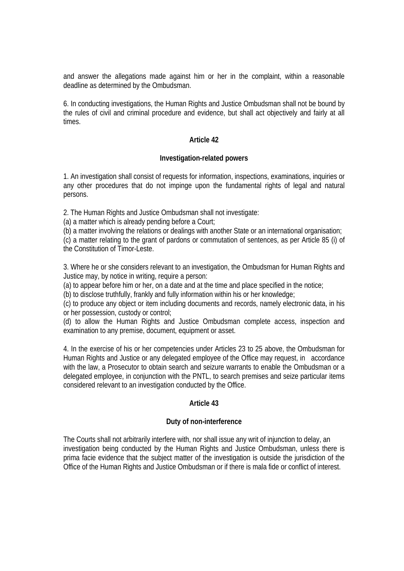and answer the allegations made against him or her in the complaint, within a reasonable deadline as determined by the Ombudsman.

6. In conducting investigations, the Human Rights and Justice Ombudsman shall not be bound by the rules of civil and criminal procedure and evidence, but shall act objectively and fairly at all times.

#### **Article 42**

#### **Investigation-related powers**

1. An investigation shall consist of requests for information, inspections, examinations, inquiries or any other procedures that do not impinge upon the fundamental rights of legal and natural persons.

2. The Human Rights and Justice Ombudsman shall not investigate:

(a) a matter which is already pending before a Court;

(b) a matter involving the relations or dealings with another State or an international organisation;

(c) a matter relating to the grant of pardons or commutation of sentences, as per Article 85 (i) of the Constitution of Timor-Leste.

3. Where he or she considers relevant to an investigation, the Ombudsman for Human Rights and Justice may, by notice in writing, require a person:

(a) to appear before him or her, on a date and at the time and place specified in the notice;

(b) to disclose truthfully, frankly and fully information within his or her knowledge;

(c) to produce any object or item including documents and records, namely electronic data, in his or her possession, custody or control;

(d) to allow the Human Rights and Justice Ombudsman complete access, inspection and examination to any premise, document, equipment or asset.

4. In the exercise of his or her competencies under Articles 23 to 25 above, the Ombudsman for Human Rights and Justice or any delegated employee of the Office may request, in accordance with the law, a Prosecutor to obtain search and seizure warrants to enable the Ombudsman or a delegated employee, in conjunction with the PNTL, to search premises and seize particular items considered relevant to an investigation conducted by the Office.

## **Article 43**

#### **Duty of non-interference**

The Courts shall not arbitrarily interfere with, nor shall issue any writ of injunction to delay, an investigation being conducted by the Human Rights and Justice Ombudsman, unless there is prima facie evidence that the subject matter of the investigation is outside the jurisdiction of the Office of the Human Rights and Justice Ombudsman or if there is mala fide or conflict of interest.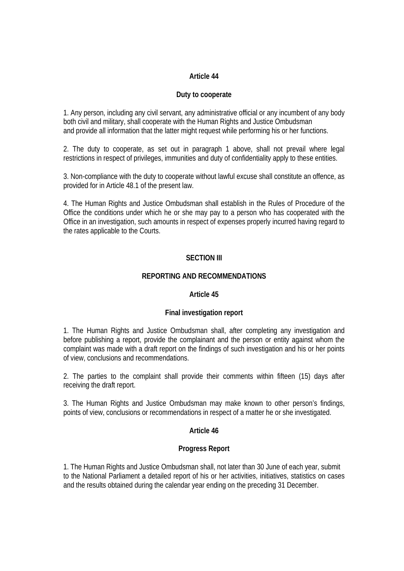#### **Duty to cooperate**

1. Any person, including any civil servant, any administrative official or any incumbent of any body both civil and military, shall cooperate with the Human Rights and Justice Ombudsman and provide all information that the latter might request while performing his or her functions.

2. The duty to cooperate, as set out in paragraph 1 above, shall not prevail where legal restrictions in respect of privileges, immunities and duty of confidentiality apply to these entities.

3. Non-compliance with the duty to cooperate without lawful excuse shall constitute an offence, as provided for in Article 48.1 of the present law.

4. The Human Rights and Justice Ombudsman shall establish in the Rules of Procedure of the Office the conditions under which he or she may pay to a person who has cooperated with the Office in an investigation, such amounts in respect of expenses properly incurred having regard to the rates applicable to the Courts.

# **SECTION III**

## **REPORTING AND RECOMMENDATIONS**

#### **Article 45**

## **Final investigation report**

1. The Human Rights and Justice Ombudsman shall, after completing any investigation and before publishing a report, provide the complainant and the person or entity against whom the complaint was made with a draft report on the findings of such investigation and his or her points of view, conclusions and recommendations.

2. The parties to the complaint shall provide their comments within fifteen (15) days after receiving the draft report.

3. The Human Rights and Justice Ombudsman may make known to other person's findings, points of view, conclusions or recommendations in respect of a matter he or she investigated.

#### **Article 46**

## **Progress Report**

1. The Human Rights and Justice Ombudsman shall, not later than 30 June of each year, submit to the National Parliament a detailed report of his or her activities, initiatives, statistics on cases and the results obtained during the calendar year ending on the preceding 31 December.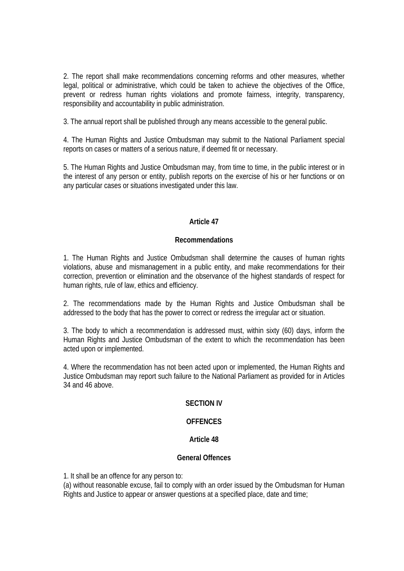2. The report shall make recommendations concerning reforms and other measures, whether legal, political or administrative, which could be taken to achieve the objectives of the Office, prevent or redress human rights violations and promote fairness, integrity, transparency, responsibility and accountability in public administration.

3. The annual report shall be published through any means accessible to the general public.

4. The Human Rights and Justice Ombudsman may submit to the National Parliament special reports on cases or matters of a serious nature, if deemed fit or necessary.

5. The Human Rights and Justice Ombudsman may, from time to time, in the public interest or in the interest of any person or entity, publish reports on the exercise of his or her functions or on any particular cases or situations investigated under this law.

# **Article 47**

# **Recommendations**

1. The Human Rights and Justice Ombudsman shall determine the causes of human rights violations, abuse and mismanagement in a public entity, and make recommendations for their correction, prevention or elimination and the observance of the highest standards of respect for human rights, rule of law, ethics and efficiency.

2. The recommendations made by the Human Rights and Justice Ombudsman shall be addressed to the body that has the power to correct or redress the irregular act or situation.

3. The body to which a recommendation is addressed must, within sixty (60) days, inform the Human Rights and Justice Ombudsman of the extent to which the recommendation has been acted upon or implemented.

4. Where the recommendation has not been acted upon or implemented, the Human Rights and Justice Ombudsman may report such failure to the National Parliament as provided for in Articles 34 and 46 above.

# **SECTION IV**

# **OFFENCES**

## **Article 48**

## **General Offences**

1. It shall be an offence for any person to:

(a) without reasonable excuse, fail to comply with an order issued by the Ombudsman for Human Rights and Justice to appear or answer questions at a specified place, date and time;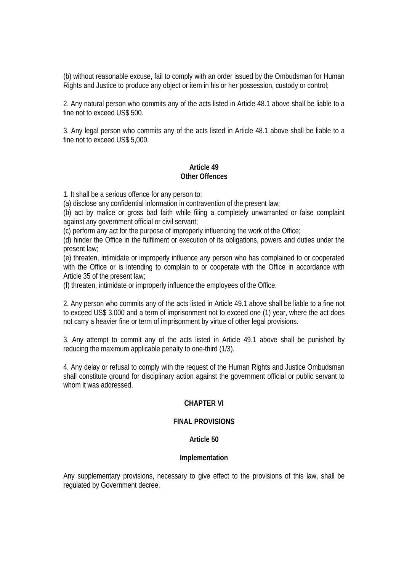(b) without reasonable excuse, fail to comply with an order issued by the Ombudsman for Human Rights and Justice to produce any object or item in his or her possession, custody or control;

2. Any natural person who commits any of the acts listed in Article 48.1 above shall be liable to a fine not to exceed US\$ 500.

3. Any legal person who commits any of the acts listed in Article 48.1 above shall be liable to a fine not to exceed US\$ 5,000.

## **Article 49 Other Offences**

1. It shall be a serious offence for any person to:

(a) disclose any confidential information in contravention of the present law;

(b) act by malice or gross bad faith while filing a completely unwarranted or false complaint against any government official or civil servant;

(c) perform any act for the purpose of improperly influencing the work of the Office;

(d) hinder the Office in the fulfilment or execution of its obligations, powers and duties under the present law;

(e) threaten, intimidate or improperly influence any person who has complained to or cooperated with the Office or is intending to complain to or cooperate with the Office in accordance with Article 35 of the present law;

(f) threaten, intimidate or improperly influence the employees of the Office.

2. Any person who commits any of the acts listed in Article 49.1 above shall be liable to a fine not to exceed US\$ 3,000 and a term of imprisonment not to exceed one (1) year, where the act does not carry a heavier fine or term of imprisonment by virtue of other legal provisions.

3. Any attempt to commit any of the acts listed in Article 49.1 above shall be punished by reducing the maximum applicable penalty to one-third (1/3).

4. Any delay or refusal to comply with the request of the Human Rights and Justice Ombudsman shall constitute ground for disciplinary action against the government official or public servant to whom it was addressed.

## **CHAPTER VI**

# **FINAL PROVISIONS**

## **Article 50**

## **Implementation**

Any supplementary provisions, necessary to give effect to the provisions of this law, shall be regulated by Government decree.